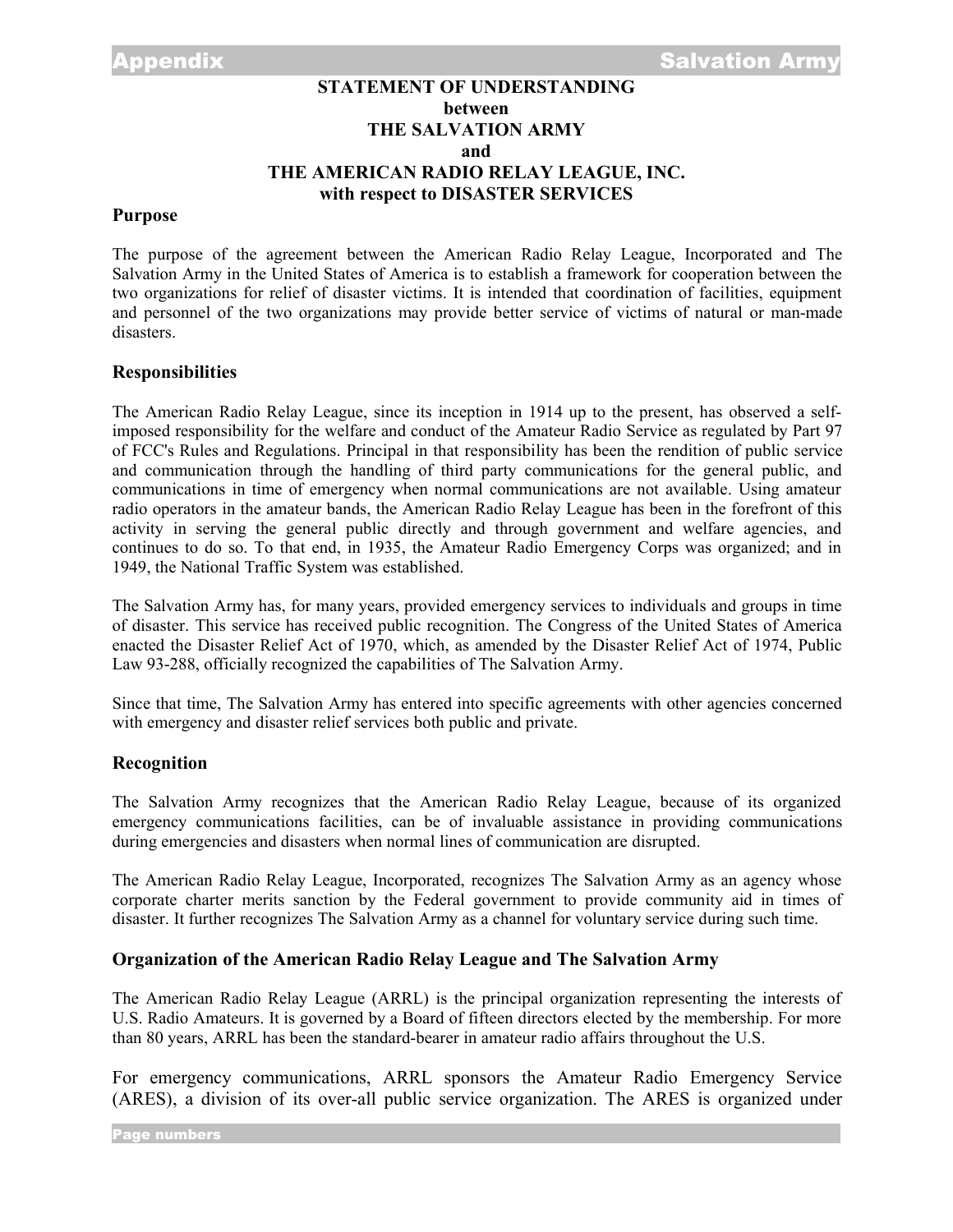# **STATEMENT OF UNDERSTANDING between THE SALVATION ARMY and THE AMERICAN RADIO RELAY LEAGUE, INC. with respect to DISASTER SERVICES**

### **Purpose**

The purpose of the agreement between the American Radio Relay League, Incorporated and The Salvation Army in the United States of America is to establish a framework for cooperation between the two organizations for relief of disaster victims. It is intended that coordination of facilities, equipment and personnel of the two organizations may provide better service of victims of natural or man-made disasters.

## **Responsibilities**

The American Radio Relay League, since its inception in 1914 up to the present, has observed a selfimposed responsibility for the welfare and conduct of the Amateur Radio Service as regulated by Part 97 of FCC's Rules and Regulations. Principal in that responsibility has been the rendition of public service and communication through the handling of third party communications for the general public, and communications in time of emergency when normal communications are not available. Using amateur radio operators in the amateur bands, the American Radio Relay League has been in the forefront of this activity in serving the general public directly and through government and welfare agencies, and continues to do so. To that end, in 1935, the Amateur Radio Emergency Corps was organized; and in 1949, the National Traffic System was established.

The Salvation Army has, for many years, provided emergency services to individuals and groups in time of disaster. This service has received public recognition. The Congress of the United States of America enacted the Disaster Relief Act of 1970, which, as amended by the Disaster Relief Act of 1974, Public Law 93-288, officially recognized the capabilities of The Salvation Army.

Since that time, The Salvation Army has entered into specific agreements with other agencies concerned with emergency and disaster relief services both public and private.

## **Recognition**

The Salvation Army recognizes that the American Radio Relay League, because of its organized emergency communications facilities, can be of invaluable assistance in providing communications during emergencies and disasters when normal lines of communication are disrupted.

The American Radio Relay League, Incorporated, recognizes The Salvation Army as an agency whose corporate charter merits sanction by the Federal government to provide community aid in times of disaster. It further recognizes The Salvation Army as a channel for voluntary service during such time.

#### **Organization of the American Radio Relay League and The Salvation Army**

The American Radio Relay League (ARRL) is the principal organization representing the interests of U.S. Radio Amateurs. It is governed by a Board of fifteen directors elected by the membership. For more than 80 years, ARRL has been the standard-bearer in amateur radio affairs throughout the U.S.

For emergency communications, ARRL sponsors the Amateur Radio Emergency Service (ARES), a division of its over-all public service organization. The ARES is organized under